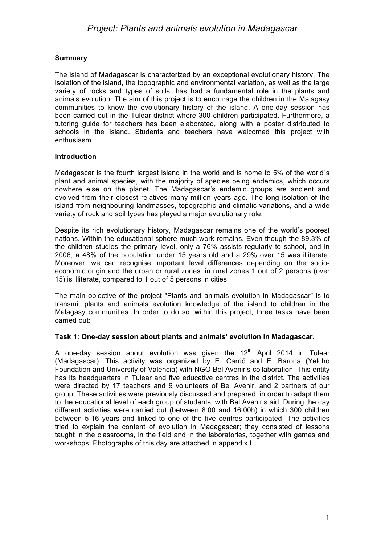### **Summary**

The island of Madagascar is characterized by an exceptional evolutionary history. The isolation of the island, the topographic and environmental variation, as well as the large variety of rocks and types of soils, has had a fundamental role in the plants and animals evolution. The aim of this project is to encourage the children in the Malagasy communities to know the evolutionary history of the island. A one-day session has been carried out in the Tulear district where 300 children participated. Furthermore, a tutoring guide for teachers has been elaborated, along with a poster distributed to schools in the island. Students and teachers have welcomed this project with enthusiasm.

### **Introduction**

Madagascar is the fourth largest island in the world and is home to 5% of the world´s plant and animal species, with the majority of species being endemics, which occurs nowhere else on the planet. The Madagascar's endemic groups are ancient and evolved from their closest relatives many million years ago. The long isolation of the island from neighbouring landmasses, topographic and climatic variations, and a wide variety of rock and soil types has played a major evolutionary role.

Despite its rich evolutionary history, Madagascar remains one of the world's poorest nations. Within the educational sphere much work remains. Even though the 89.3% of the children studies the primary level, only a 76% assists regularly to school, and in 2006, a 48% of the population under 15 years old and a 29% over 15 was illiterate. Moreover, we can recognise important level differences depending on the socioeconomic origin and the urban or rural zones: in rural zones 1 out of 2 persons (over 15) is illiterate, compared to 1 out of 5 persons in cities.

The main objective of the project "Plants and animals evolution in Madagascar" is to transmit plants and animals evolution knowledge of the island to children in the Malagasy communities. In order to do so, within this project, three tasks have been carried out:

#### **Task 1: One-day session about plants and animals' evolution in Madagascar.**

A one-day session about evolution was given the  $12<sup>th</sup>$  April 2014 in Tulear (Madagascar). This activity was organized by E. Carrió and E. Barona (Yelcho Foundation and University of Valencia) with NGO Bel Avenir's collaboration. This entity has its headquarters in Tulear and five educative centres in the district. The activities were directed by 17 teachers and 9 volunteers of Bel Avenir, and 2 partners of our group. These activities were previously discussed and prepared, in order to adapt them to the educational level of each group of students, with Bel Avenir's aid. During the day different activities were carried out (between 8:00 and 16:00h) in which 300 children between 5-16 years and linked to one of the five centres participated. The activities tried to explain the content of evolution in Madagascar; they consisted of lessons taught in the classrooms, in the field and in the laboratories, together with games and workshops. Photographs of this day are attached in appendix I.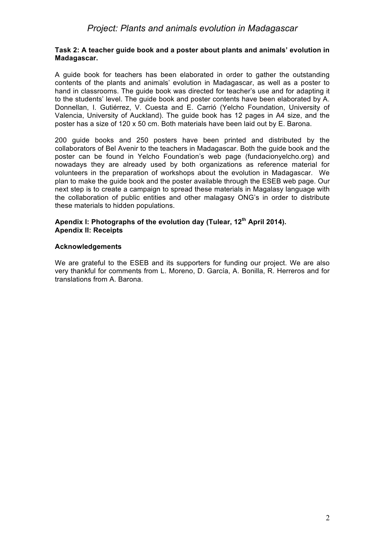#### **Task 2: A teacher guide book and a poster about plants and animals' evolution in Madagascar.**

A guide book for teachers has been elaborated in order to gather the outstanding contents of the plants and animals' evolution in Madagascar, as well as a poster to hand in classrooms. The guide book was directed for teacher's use and for adapting it to the students' level. The guide book and poster contents have been elaborated by A. Donnellan, I. Gutiérrez, V. Cuesta and E. Carrió (Yelcho Foundation, University of Valencia, University of Auckland). The guide book has 12 pages in A4 size, and the poster has a size of 120 x 50 cm. Both materials have been laid out by E. Barona.

200 guide books and 250 posters have been printed and distributed by the collaborators of Bel Avenir to the teachers in Madagascar. Both the guide book and the poster can be found in Yelcho Foundation's web page (fundacionyelcho.org) and nowadays they are already used by both organizations as reference material for volunteers in the preparation of workshops about the evolution in Madagascar. We plan to make the guide book and the poster available through the ESEB web page. Our next step is to create a campaign to spread these materials in Magalasy language with the collaboration of public entities and other malagasy ONG's in order to distribute these materials to hidden populations.

#### **Apendix I: Photographs of the evolution day (Tulear, 12th April 2014). Apendix II: Receipts**

#### **Acknowledgements**

We are grateful to the ESEB and its supporters for funding our project. We are also very thankful for comments from L. Moreno, D. García, A. Bonilla, R. Herreros and for translations from A. Barona.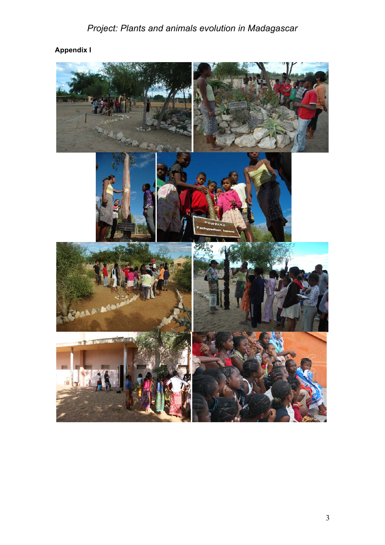# *Project: Plants and animals evolution in Madagascar*

## **Appendix I**